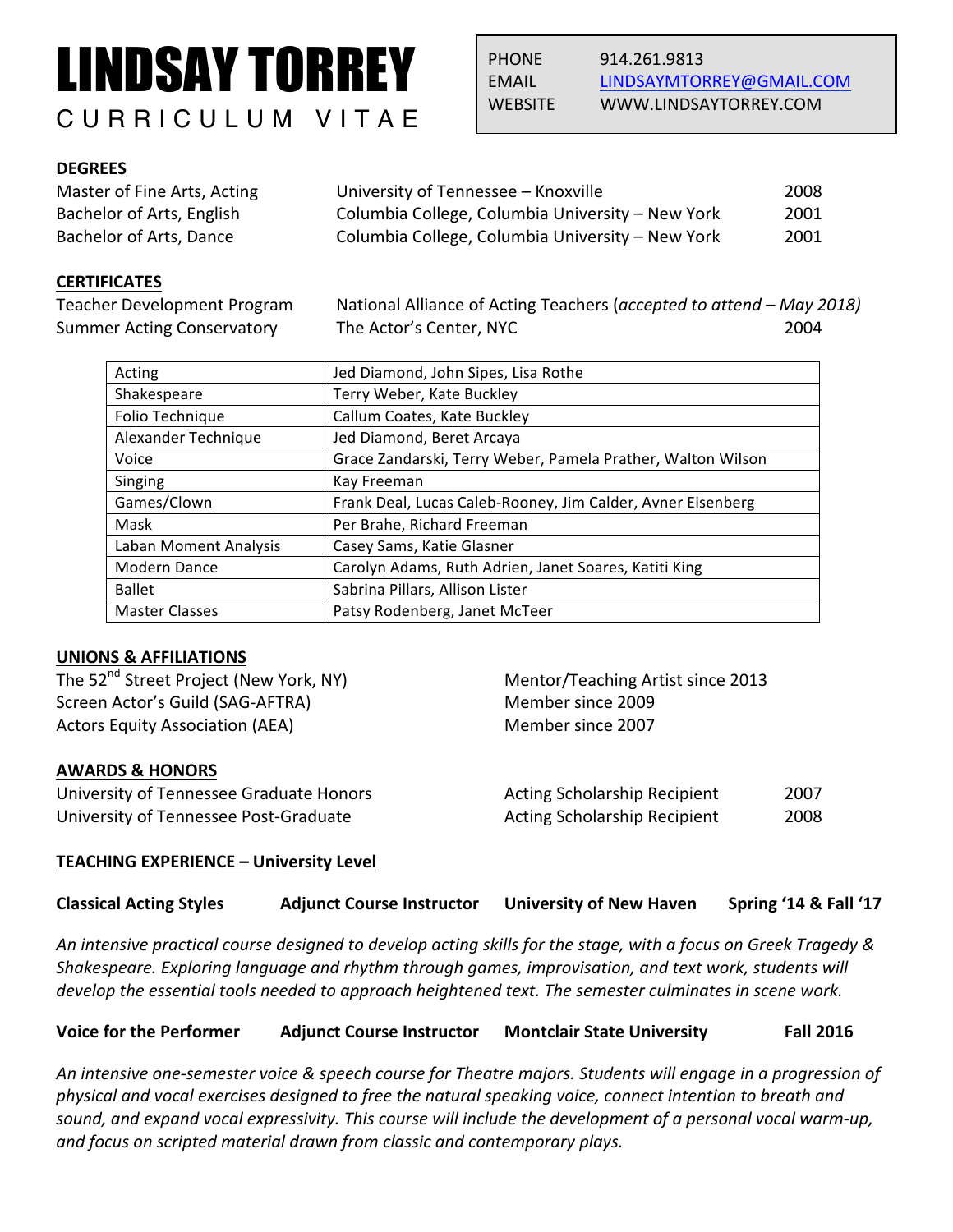# LINDSAY TORREY CURRICULUM VITAE

# **DEGREES**

| Master of Fine Arts, Acting | University of Tennessee - Knoxville              | 2008 |
|-----------------------------|--------------------------------------------------|------|
| Bachelor of Arts, English   | Columbia College, Columbia University - New York | 2001 |
| Bachelor of Arts, Dance     | Columbia College, Columbia University - New York | 2001 |

# **CERTIFICATES**

Teacher Development Program National Alliance of Acting Teachers (*accepted to attend – May 2018*) Summer Acting Conservatory The Actor's Center, NYC 2004

| Acting                | Jed Diamond, John Sipes, Lisa Rothe                         |
|-----------------------|-------------------------------------------------------------|
| Shakespeare           | Terry Weber, Kate Buckley                                   |
| Folio Technique       | Callum Coates, Kate Buckley                                 |
| Alexander Technique   | Jed Diamond, Beret Arcaya                                   |
| Voice                 | Grace Zandarski, Terry Weber, Pamela Prather, Walton Wilson |
| Singing               | Kay Freeman                                                 |
| Games/Clown           | Frank Deal, Lucas Caleb-Rooney, Jim Calder, Avner Eisenberg |
| Mask                  | Per Brahe, Richard Freeman                                  |
| Laban Moment Analysis | Casey Sams, Katie Glasner                                   |
| Modern Dance          | Carolyn Adams, Ruth Adrien, Janet Soares, Katiti King       |
| <b>Ballet</b>         | Sabrina Pillars, Allison Lister                             |
| <b>Master Classes</b> | Patsy Rodenberg, Janet McTeer                               |

# **UNIONS & AFFILIATIONS**

| The 52 <sup>nd</sup> Street Project (New York, NY)          | Mentor/Teaching Artist since 2013   |      |
|-------------------------------------------------------------|-------------------------------------|------|
| Screen Actor's Guild (SAG-AFTRA)<br>Member since 2009       |                                     |      |
| <b>Actors Equity Association (AEA)</b><br>Member since 2007 |                                     |      |
| <b>AWARDS &amp; HONORS</b>                                  |                                     |      |
| University of Tennessee Graduate Honors                     | Acting Scholarship Recipient        | 2007 |
| University of Tennessee Post-Graduate                       | <b>Acting Scholarship Recipient</b> | 2008 |
|                                                             |                                     |      |

### **TEACHING EXPERIENCE - University Level**

# **Classical Acting Styles Adjunct Course Instructor University of New Haven Spring '14 & Fall '17**

An intensive practical course designed to develop acting skills for the stage, with a focus on Greek Tragedy & Shakespeare. Exploring language and rhythm through games, improvisation, and text work, students will *develop* the essential tools needed to approach heightened text. The semester culminates in scene work.

| <b>Voice for the Performer</b> | <b>Adjunct Course Instructor</b> | <b>Montclair State University</b> | <b>Fall 2016</b> |
|--------------------------------|----------------------------------|-----------------------------------|------------------|
|--------------------------------|----------------------------------|-----------------------------------|------------------|

An intensive one-semester voice & speech course for Theatre majors. Students will engage in a progression of *physical and vocal exercises designed to free the natural speaking voice, connect intention to breath and sound,* and expand vocal expressivity. This course will include the development of a personal vocal warm-up, *and focus on scripted material drawn from classic and contemporary plays.*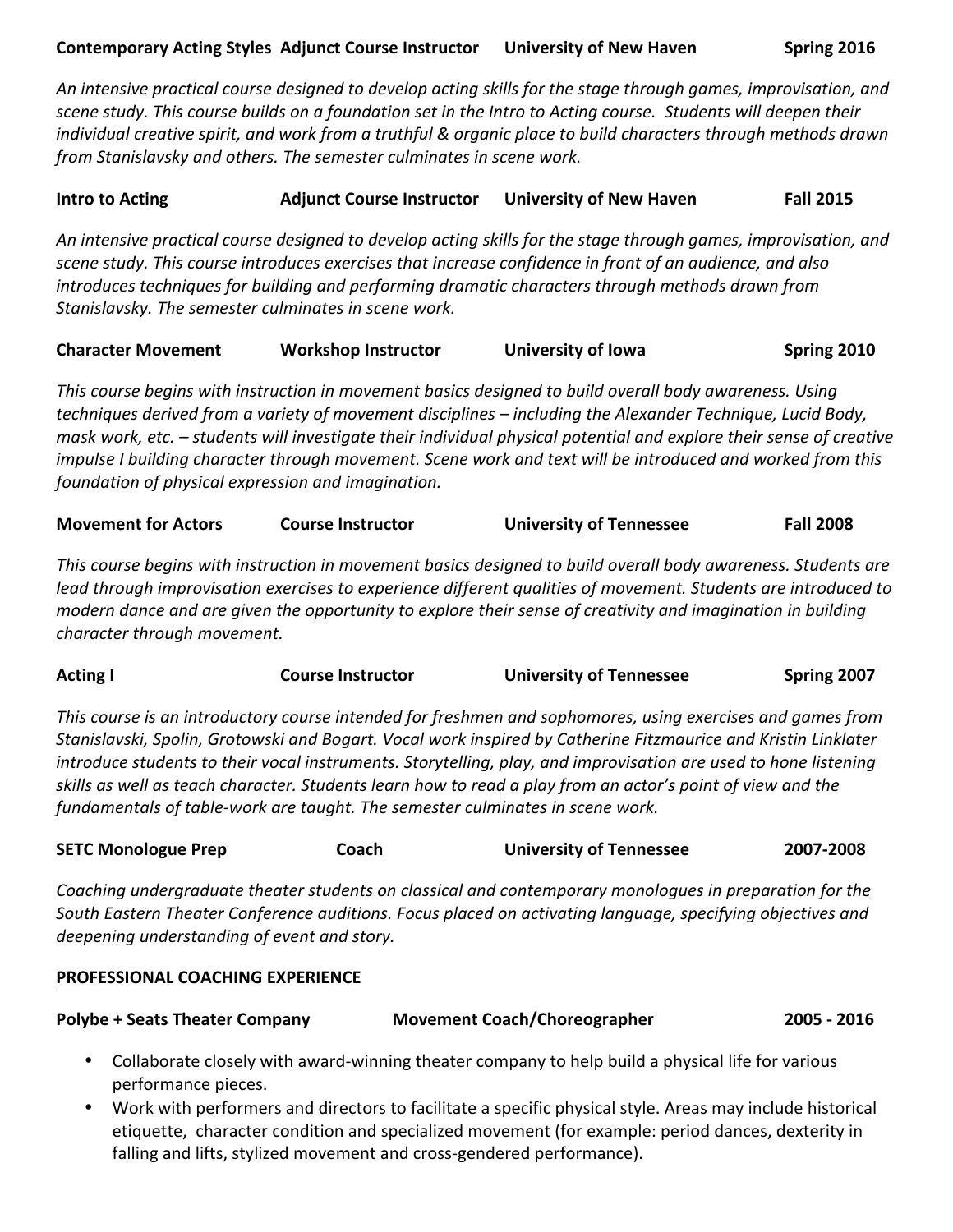An intensive practical course designed to develop acting skills for the stage through games, improvisation, and *scene study. This course builds on a foundation set in the Intro to Acting course. Students will deepen their individual creative spirit, and work from a truthful & organic place to build characters through methods drawn from Stanislavsky and others. The semester culminates in scene work.* 

**Intro to Acting The Course Instructor University of New Haven Fall 2015** 

An intensive practical course designed to develop acting skills for the stage through games, improvisation, and scene study. This course introduces exercises that increase confidence in front of an audience, and also *introduces techniques for building and performing dramatic characters through methods drawn from Stanislavsky. The semester culminates in scene work.*

| <b>Character Movement</b> | <b>Workshop Instructor</b> | University of Iowa | Spring 2010 |
|---------------------------|----------------------------|--------------------|-------------|
|                           |                            |                    |             |

This course begins with instruction in movement basics designed to build overall body awareness. Using *techniques derived from a variety of movement disciplines – including the Alexander Technique, Lucid Body, mask work, etc.* – *students will investigate their individual physical potential and explore their sense of creative impulse I* building character through movement. Scene work and text will be introduced and worked from this *foundation of physical expression and imagination.*

| <b>Movement for Actors</b> | <b>Course Instructor</b> | <b>University of Tennessee</b> | <b>Fall 2008</b> |
|----------------------------|--------------------------|--------------------------------|------------------|
|----------------------------|--------------------------|--------------------------------|------------------|

This course begins with instruction in movement basics designed to build overall body awareness. Students are *lead through improvisation exercises to experience different qualities of movement. Students are introduced to modern* dance and are given the opportunity to explore their sense of creativity and imagination in building *character through movement.*

| <b>Acting I</b> | <b>Course Instructor</b> | <b>University of Tennessee</b> | Spring 2007 |
|-----------------|--------------------------|--------------------------------|-------------|
|-----------------|--------------------------|--------------------------------|-------------|

This course is an introductory course intended for freshmen and sophomores, using exercises and games from *Stanislavski, Spolin, Grotowski and Bogart. Vocal work inspired by Catherine Fitzmaurice and Kristin Linklater introduce students to their vocal instruments. Storytelling, play, and improvisation are used to hone listening* skills as well as teach character. Students learn how to read a play from an actor's point of view and the *fundamentals of table-work are taught. The semester culminates in scene work.* 

| <b>SETC Monologue Prep</b> | Coach | <b>University of Tennessee</b> | 2007-2008 |
|----------------------------|-------|--------------------------------|-----------|
|----------------------------|-------|--------------------------------|-----------|

*Coaching* undergraduate theater students on classical and contemporary monologues in preparation for the South Eastern Theater Conference auditions. Focus placed on activating language, specifying objectives and deepening understanding of event and story.

### **PROFESSIONAL COACHING EXPERIENCE**

**Polybe + Seats Theater Company Movement Coach/Choreographer <b>2005** - 2016

- Collaborate closely with award-winning theater company to help build a physical life for various performance pieces.
- Work with performers and directors to facilitate a specific physical style. Areas may include historical etiquette, character condition and specialized movement (for example: period dances, dexterity in falling and lifts, stylized movement and cross-gendered performance).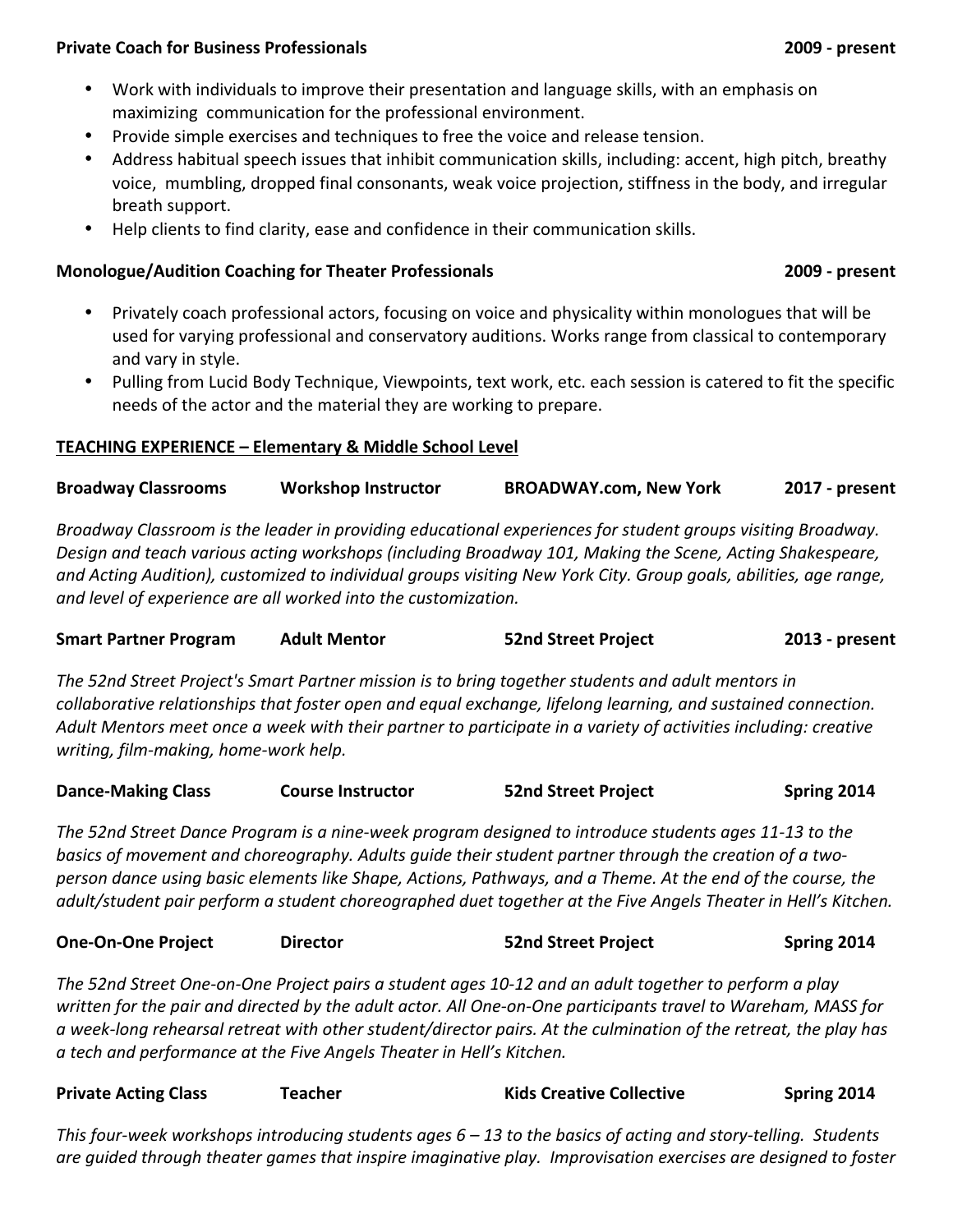### **Private Coach for Business Professionals 2009** - present

- Work with individuals to improve their presentation and language skills, with an emphasis on maximizing communication for the professional environment.
- Provide simple exercises and techniques to free the voice and release tension.
- Address habitual speech issues that inhibit communication skills, including: accent, high pitch, breathy voice, mumbling, dropped final consonants, weak voice projection, stiffness in the body, and irregular breath support.
- Help clients to find clarity, ease and confidence in their communication skills.

# **Monologue/Audition Coaching for Theater Professionals <b>2009** - present

- Privately coach professional actors, focusing on voice and physicality within monologues that will be used for varying professional and conservatory auditions. Works range from classical to contemporary and vary in style.
- Pulling from Lucid Body Technique, Viewpoints, text work, etc. each session is catered to fit the specific needs of the actor and the material they are working to prepare.

# **TEACHING EXPERIENCE – Elementary & Middle School Level**

**Broadway Classrooms Workshop Instructor BROADWAY.com, New York 2017 - present**

*Broadway Classroom is the leader in providing educational experiences for student groups visiting Broadway. Design and teach various acting workshops (including Broadway 101, Making the Scene, Acting Shakespeare,* and Acting Audition), customized to individual groups visiting New York City. Group goals, abilities, age range, and level of experience are all worked into the customization.

| <b>Smart Partner Program</b> | <b>Adult Mentor</b> | <b>52nd Street Project</b> | 2013 - present |
|------------------------------|---------------------|----------------------------|----------------|
|                              |                     |                            |                |

The 52nd Street Project's Smart Partner mission is to bring together students and adult mentors in *collaborative relationships that foster open and equal exchange, lifelong learning, and sustained connection.* Adult Mentors meet once a week with their partner to participate in a variety of activities including: creative *writing, film-making, home-work help.*

| <b>Dance-Making Class</b> | <b>Course Instructor</b> | <b>52nd Street Project</b> | Spring 2014 |
|---------------------------|--------------------------|----------------------------|-------------|
|---------------------------|--------------------------|----------------------------|-------------|

The 52nd Street Dance Program is a nine-week program designed to introduce students ages 11-13 to the basics of movement and choreography. Adults quide their student partner through the creation of a two*person dance using basic elements like Shape, Actions, Pathways, and a Theme. At the end of the course, the adult/student pair perform a student choreographed duet together at the Five Angels Theater in Hell's Kitchen.* 

| <b>One-On-One Project</b> | <b>Director</b> | <b>52nd Street Project</b> | Spring 2014 |
|---------------------------|-----------------|----------------------------|-------------|
|---------------------------|-----------------|----------------------------|-------------|

The 52nd Street One-on-One Project pairs a student ages 10-12 and an adult together to perform a play written for the pair and directed by the adult actor. All One-on-One participants travel to Wareham, MASS for *a week-long rehearsal retreat with other student/director pairs. At the culmination of the retreat, the play has a tech and performance at the Five Angels Theater in Hell's Kitchen.*

| <b>Private Acting Class</b> | Teacher | <b>Kids Creative Collective</b> | Spring 2014 |
|-----------------------------|---------|---------------------------------|-------------|
|                             |         |                                 |             |

*This* four-week workshops introducing students ages 6 – 13 to the basics of acting and story-telling. Students *are guided through theater games that inspire imaginative play. Improvisation exercises are designed to foster*